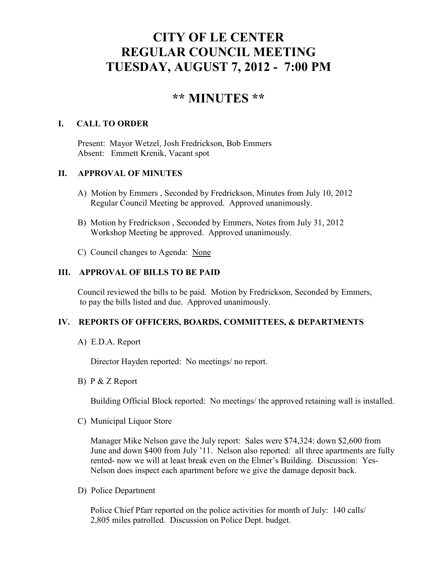# **CITY OF LE CENTER REGULAR COUNCIL MEETING TUESDAY, AUGUST 7, 2012 - 7:00 PM**

# **\*\* MINUTES \*\***

## **I. CALL TO ORDER**

Present: Mayor Wetzel, Josh Fredrickson, Bob Emmers Absent: Emmett Krenik, Vacant spot

#### **II. APPROVAL OF MINUTES**

- A) Motion by Emmers , Seconded by Fredrickson, Minutes from July 10, 2012 Regular Council Meeting be approved. Approved unanimously.
- B) Motion by Fredrickson , Seconded by Emmers, Notes from July 31, 2012 Workshop Meeting be approved. Approved unanimously.
- C) Council changes to Agenda: None

### **III. APPROVAL OF BILLS TO BE PAID**

Council reviewed the bills to be paid. Motion by Fredrickson, Seconded by Emmers, to pay the bills listed and due. Approved unanimously.

#### **IV. REPORTS OF OFFICERS, BOARDS, COMMITTEES, & DEPARTMENTS**

A) E.D.A. Report

Director Hayden reported: No meetings/ no report.

B) P & Z Report

Building Official Block reported: No meetings/ the approved retaining wall is installed.

C) Municipal Liquor Store

Manager Mike Nelson gave the July report: Sales were \$74,324: down \$2,600 from June and down \$400 from July '11. Nelson also reported: all three apartments are fully rented- now we will at least break even on the Elmer's Building. Discussion: Yes-Nelson does inspect each apartment before we give the damage deposit back.

D) Police Department

Police Chief Pfarr reported on the police activities for month of July: 140 calls/ 2,805 miles patrolled. Discussion on Police Dept. budget.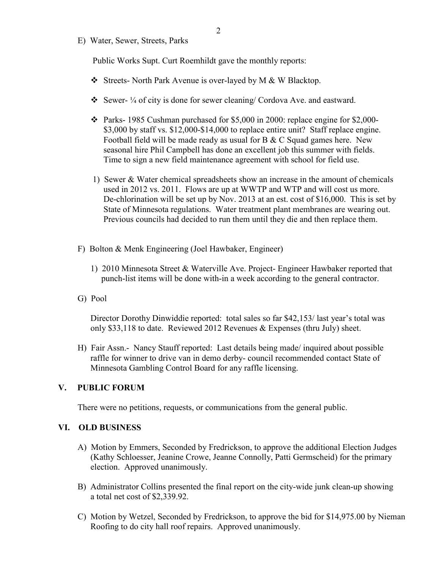E) Water, Sewer, Streets, Parks

Public Works Supt. Curt Roemhildt gave the monthly reports:

- Streets- North Park Avenue is over-layed by M & W Blacktop.
- $\bullet$  Sewer- ¼ of city is done for sewer cleaning/ Cordova Ave. and eastward.
- $\div$  Parks- 1985 Cushman purchased for \$5,000 in 2000: replace engine for \$2,000-\$3,000 by staff vs. \$12,000-\$14,000 to replace entire unit? Staff replace engine. Football field will be made ready as usual for B & C Squad games here. New seasonal hire Phil Campbell has done an excellent job this summer with fields. Time to sign a new field maintenance agreement with school for field use.
- 1) Sewer & Water chemical spreadsheets show an increase in the amount of chemicals used in 2012 vs. 2011. Flows are up at WWTP and WTP and will cost us more. De-chlorination will be set up by Nov. 2013 at an est. cost of \$16,000. This is set by State of Minnesota regulations. Water treatment plant membranes are wearing out. Previous councils had decided to run them until they die and then replace them.
- F) Bolton & Menk Engineering (Joel Hawbaker, Engineer)
	- 1) 2010 Minnesota Street & Waterville Ave. Project- Engineer Hawbaker reported that punch-list items will be done with-in a week according to the general contractor.
- G) Pool

 Director Dorothy Dinwiddie reported: total sales so far \$42,153/ last year's total was only \$33,118 to date. Reviewed 2012 Revenues & Expenses (thru July) sheet.

H) Fair Assn.- Nancy Stauff reported: Last details being made/ inquired about possible raffle for winner to drive van in demo derby- council recommended contact State of Minnesota Gambling Control Board for any raffle licensing.

#### **V. PUBLIC FORUM**

There were no petitions, requests, or communications from the general public.

#### **VI. OLD BUSINESS**

- A) Motion by Emmers, Seconded by Fredrickson, to approve the additional Election Judges (Kathy Schloesser, Jeanine Crowe, Jeanne Connolly, Patti Germscheid) for the primary election. Approved unanimously.
- B) Administrator Collins presented the final report on the city-wide junk clean-up showing a total net cost of \$2,339.92.
- C) Motion by Wetzel, Seconded by Fredrickson, to approve the bid for \$14,975.00 by Nieman Roofing to do city hall roof repairs. Approved unanimously.